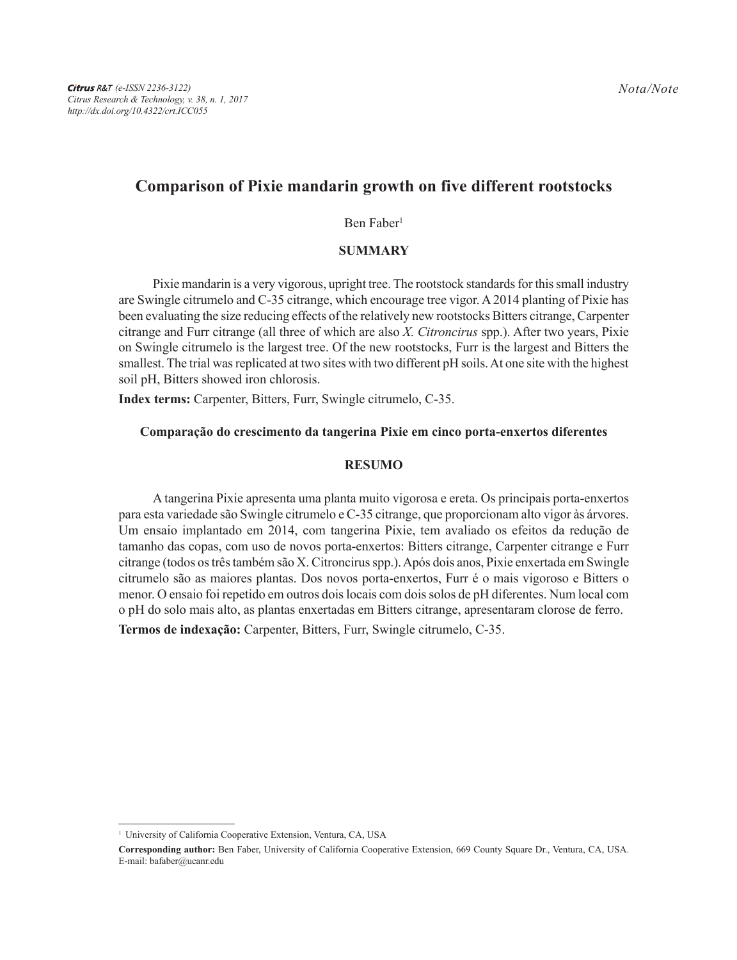# **Comparison of Pixie mandarin growth on five different rootstocks**

#### Ben Faber<sup>1</sup>

## **SUMMARY**

Pixie mandarin is a very vigorous, upright tree. The rootstock standards for this small industry are Swingle citrumelo and C-35 citrange, which encourage tree vigor. A 2014 planting of Pixie has been evaluating the size reducing effects of the relatively new rootstocks Bitters citrange, Carpenter citrange and Furr citrange (all three of which are also *X. Citroncirus* spp.). After two years, Pixie on Swingle citrumelo is the largest tree. Of the new rootstocks, Furr is the largest and Bitters the smallest. The trial was replicated at two sites with two different pH soils. At one site with the highest soil pH, Bitters showed iron chlorosis.

**Index terms:** Carpenter, Bitters, Furr, Swingle citrumelo, C-35.

### **Comparação do crescimento da tangerina Pixie em cinco porta-enxertos diferentes**

### **RESUMO**

A tangerina Pixie apresenta uma planta muito vigorosa e ereta. Os principais porta-enxertos para esta variedade são Swingle citrumelo e C-35 citrange, que proporcionam alto vigor às árvores. Um ensaio implantado em 2014, com tangerina Pixie, tem avaliado os efeitos da redução de tamanho das copas, com uso de novos porta-enxertos: Bitters citrange, Carpenter citrange e Furr citrange (todos os três também são X. Citroncirus spp.). Após dois anos, Pixie enxertada em Swingle citrumelo são as maiores plantas. Dos novos porta-enxertos, Furr é o mais vigoroso e Bitters o menor. O ensaio foi repetido em outros dois locais com dois solos de pH diferentes. Num local com o pH do solo mais alto, as plantas enxertadas em Bitters citrange, apresentaram clorose de ferro. **Termos de indexação:** Carpenter, Bitters, Furr, Swingle citrumelo, C-35.

<sup>1</sup> University of California Cooperative Extension, Ventura, CA, USA

**Corresponding author:** Ben Faber, University of California Cooperative Extension, 669 County Square Dr., Ventura, CA, USA. E-mail: bafaber@ucanr.edu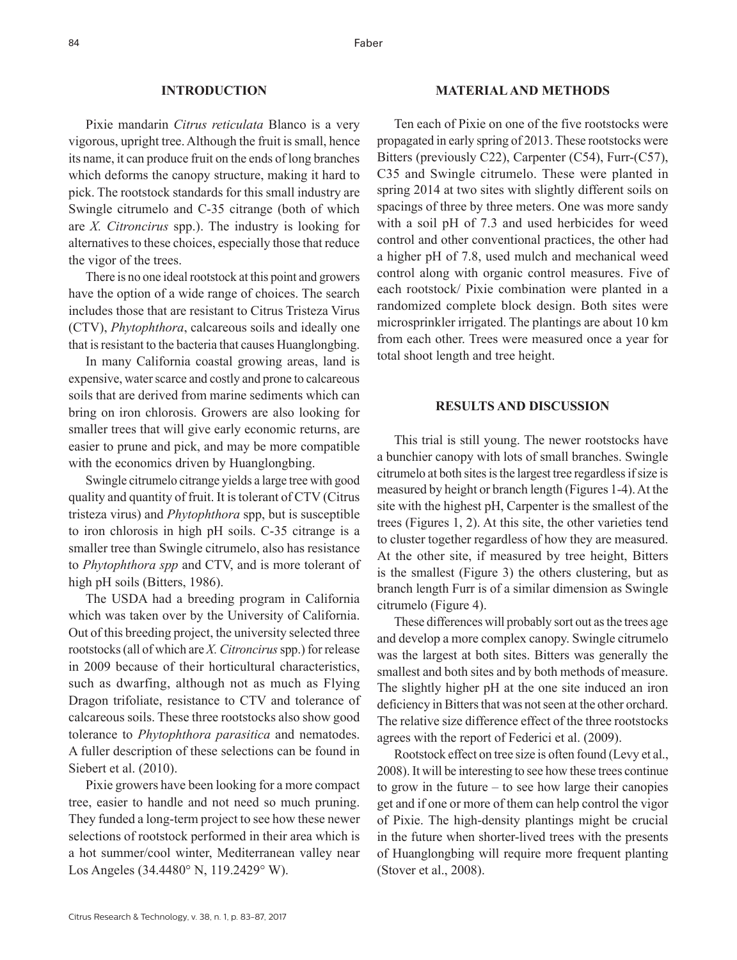#### **INTRODUCTION**

Pixie mandarin *Citrus reticulata* Blanco is a very vigorous, upright tree. Although the fruit is small, hence its name, it can produce fruit on the ends of long branches which deforms the canopy structure, making it hard to pick. The rootstock standards for this small industry are Swingle citrumelo and C-35 citrange (both of which are *X. Citroncirus* spp.). The industry is looking for alternatives to these choices, especially those that reduce the vigor of the trees.

There is no one ideal rootstock at this point and growers have the option of a wide range of choices. The search includes those that are resistant to Citrus Tristeza Virus (CTV), *Phytophthora*, calcareous soils and ideally one that is resistant to the bacteria that causes Huanglongbing.

In many California coastal growing areas, land is expensive, water scarce and costly and prone to calcareous soils that are derived from marine sediments which can bring on iron chlorosis. Growers are also looking for smaller trees that will give early economic returns, are easier to prune and pick, and may be more compatible with the economics driven by Huanglongbing.

Swingle citrumelo citrange yields a large tree with good quality and quantity of fruit. It is tolerant of CTV (Citrus tristeza virus) and *Phytophthora* spp, but is susceptible to iron chlorosis in high pH soils. C-35 citrange is a smaller tree than Swingle citrumelo, also has resistance to *Phytophthora spp* and CTV, and is more tolerant of high pH soils (Bitters, 1986).

The USDA had a breeding program in California which was taken over by the University of California. Out of this breeding project, the university selected three rootstocks (all of which are *X. Citroncirus* spp.) for release in 2009 because of their horticultural characteristics, such as dwarfing, although not as much as Flying Dragon trifoliate, resistance to CTV and tolerance of calcareous soils. These three rootstocks also show good tolerance to *Phytophthora parasitica* and nematodes. A fuller description of these selections can be found in Siebert et al. (2010).

Pixie growers have been looking for a more compact tree, easier to handle and not need so much pruning. They funded a long-term project to see how these newer selections of rootstock performed in their area which is a hot summer/cool winter, Mediterranean valley near Los Angeles (34.4480° N, 119.2429° W).

#### **MATERIAL AND METHODS**

Ten each of Pixie on one of the five rootstocks were propagated in early spring of 2013. These rootstocks were Bitters (previously C22), Carpenter (C54), Furr-(C57), C35 and Swingle citrumelo. These were planted in spring 2014 at two sites with slightly different soils on spacings of three by three meters. One was more sandy with a soil pH of 7.3 and used herbicides for weed control and other conventional practices, the other had a higher pH of 7.8, used mulch and mechanical weed control along with organic control measures. Five of each rootstock/ Pixie combination were planted in a randomized complete block design. Both sites were microsprinkler irrigated. The plantings are about 10 km from each other. Trees were measured once a year for total shoot length and tree height.

#### **RESULTS AND DISCUSSION**

This trial is still young. The newer rootstocks have a bunchier canopy with lots of small branches. Swingle citrumelo at both sites is the largest tree regardless if size is measured by height or branch length (Figures 1-4). At the site with the highest pH, Carpenter is the smallest of the trees (Figures 1, 2). At this site, the other varieties tend to cluster together regardless of how they are measured. At the other site, if measured by tree height, Bitters is the smallest (Figure 3) the others clustering, but as branch length Furr is of a similar dimension as Swingle citrumelo (Figure 4).

These differences will probably sort out as the trees age and develop a more complex canopy. Swingle citrumelo was the largest at both sites. Bitters was generally the smallest and both sites and by both methods of measure. The slightly higher pH at the one site induced an iron deficiency in Bitters that was not seen at the other orchard. The relative size difference effect of the three rootstocks agrees with the report of Federici et al. (2009).

Rootstock effect on tree size is often found (Levy et al., 2008). It will be interesting to see how these trees continue to grow in the future – to see how large their canopies get and if one or more of them can help control the vigor of Pixie. The high-density plantings might be crucial in the future when shorter-lived trees with the presents of Huanglongbing will require more frequent planting (Stover et al., 2008).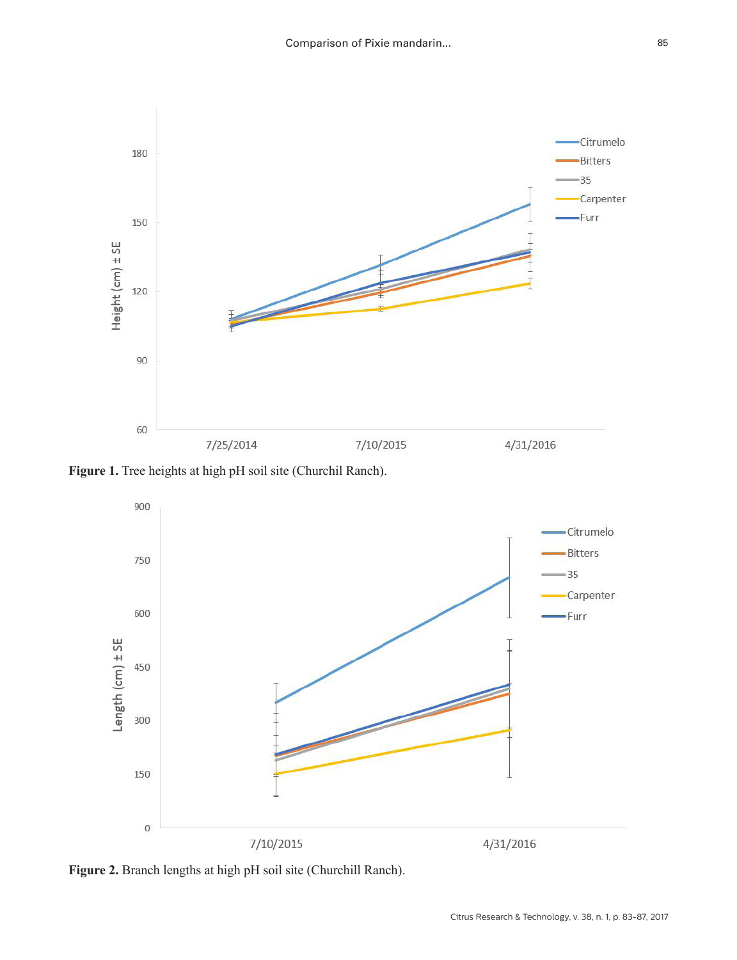

**Figure 1.** Tree heights at high pH soil site (Churchil Ranch).



**Figure 2.** Branch lengths at high pH soil site (Churchill Ranch).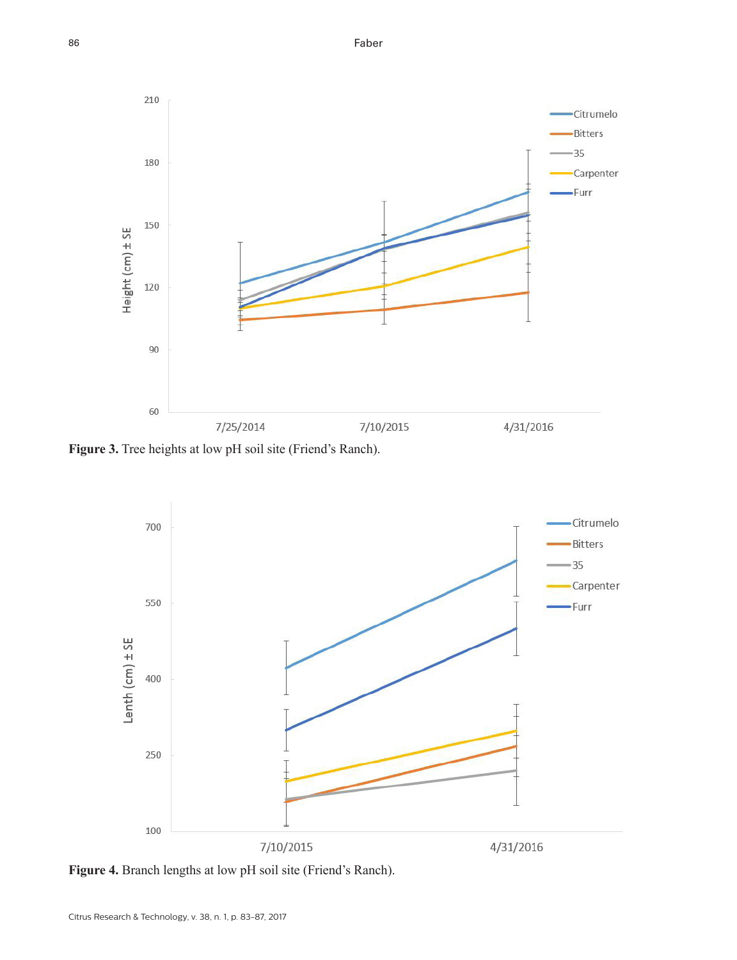Faber



**Figure 3.** Tree heights at low pH soil site (Friend's Ranch).



**Figure 4.** Branch lengths at low pH soil site (Friend's Ranch).